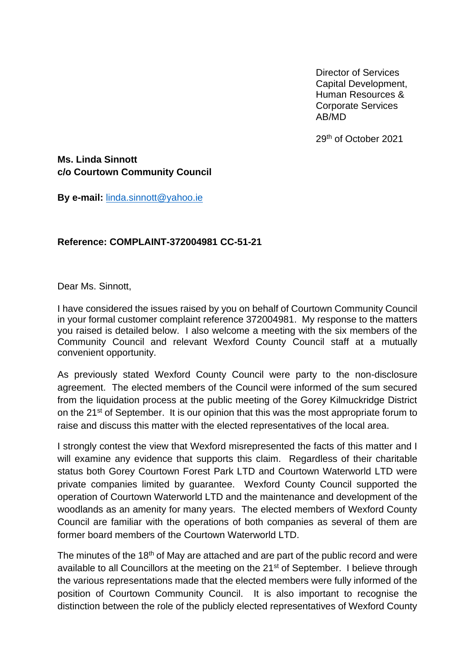Director of Services Capital Development, Human Resources & Corporate Services AB/MD

29th of October 2021

**Ms. Linda Sinnott c/o Courtown Community Council**

**By e-mail:** [linda.sinnott@yahoo.ie](mailto:linda.sinnott@yahoo.ie)

## **Reference: COMPLAINT-372004981 CC-51-21**

Dear Ms. Sinnott,

I have considered the issues raised by you on behalf of Courtown Community Council in your formal customer complaint reference 372004981. My response to the matters you raised is detailed below. I also welcome a meeting with the six members of the Community Council and relevant Wexford County Council staff at a mutually convenient opportunity.

As previously stated Wexford County Council were party to the non-disclosure agreement. The elected members of the Council were informed of the sum secured from the liquidation process at the public meeting of the Gorey Kilmuckridge District on the 21<sup>st</sup> of September. It is our opinion that this was the most appropriate forum to raise and discuss this matter with the elected representatives of the local area.

I strongly contest the view that Wexford misrepresented the facts of this matter and I will examine any evidence that supports this claim. Regardless of their charitable status both Gorey Courtown Forest Park LTD and Courtown Waterworld LTD were private companies limited by guarantee. Wexford County Council supported the operation of Courtown Waterworld LTD and the maintenance and development of the woodlands as an amenity for many years. The elected members of Wexford County Council are familiar with the operations of both companies as several of them are former board members of the Courtown Waterworld LTD.

The minutes of the 18<sup>th</sup> of May are attached and are part of the public record and were available to all Councillors at the meeting on the 21<sup>st</sup> of September. I believe through the various representations made that the elected members were fully informed of the position of Courtown Community Council. It is also important to recognise the distinction between the role of the publicly elected representatives of Wexford County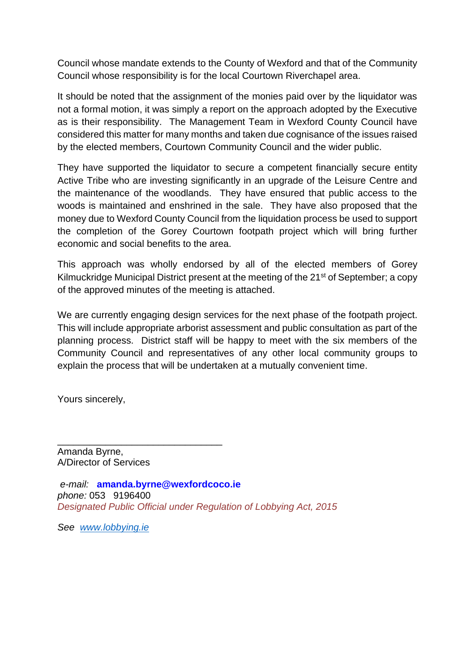Council whose mandate extends to the County of Wexford and that of the Community Council whose responsibility is for the local Courtown Riverchapel area.

It should be noted that the assignment of the monies paid over by the liquidator was not a formal motion, it was simply a report on the approach adopted by the Executive as is their responsibility. The Management Team in Wexford County Council have considered this matter for many months and taken due cognisance of the issues raised by the elected members, Courtown Community Council and the wider public.

They have supported the liquidator to secure a competent financially secure entity Active Tribe who are investing significantly in an upgrade of the Leisure Centre and the maintenance of the woodlands. They have ensured that public access to the woods is maintained and enshrined in the sale. They have also proposed that the money due to Wexford County Council from the liquidation process be used to support the completion of the Gorey Courtown footpath project which will bring further economic and social benefits to the area.

This approach was wholly endorsed by all of the elected members of Gorey Kilmuckridge Municipal District present at the meeting of the 21<sup>st</sup> of September; a copy of the approved minutes of the meeting is attached.

We are currently engaging design services for the next phase of the footpath project. This will include appropriate arborist assessment and public consultation as part of the planning process. District staff will be happy to meet with the six members of the Community Council and representatives of any other local community groups to explain the process that will be undertaken at a mutually convenient time.

Yours sincerely,

Amanda Byrne, A/Director of Services

\_\_\_\_\_\_\_\_\_\_\_\_\_\_\_\_\_\_\_\_\_\_\_\_\_\_\_\_\_\_\_

*e-mail:* **amanda.byrne@wexfordcoco.ie** *phone:* 053 9196400 *Designated Public Official under Regulation of Lobbying Act, 2015*

*See [www.lobbying.ie](http://www.lobbying.ie/)*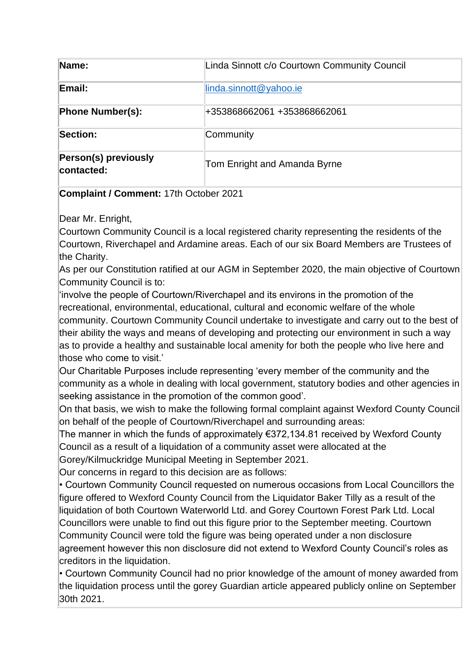| Name:                                     | Linda Sinnott c/o Courtown Community Council |
|-------------------------------------------|----------------------------------------------|
| Email:                                    | linda.sinnott@yahoo.ie                       |
| <b>Phone Number(s):</b>                   | +353868662061 +353868662061                  |
| Section:                                  | Community                                    |
| <b>Person(s) previously</b><br>contacted: | Tom Enright and Amanda Byrne                 |

**Complaint / Comment:** 17th October 2021

Dear Mr. Enright,

Courtown Community Council is a local registered charity representing the residents of the Courtown, Riverchapel and Ardamine areas. Each of our six Board Members are Trustees of the Charity.

As per our Constitution ratified at our AGM in September 2020, the main objective of Courtown Community Council is to:

'involve the people of Courtown/Riverchapel and its environs in the promotion of the recreational, environmental, educational, cultural and economic welfare of the whole community. Courtown Community Council undertake to investigate and carry out to the best of their ability the ways and means of developing and protecting our environment in such a way as to provide a healthy and sustainable local amenity for both the people who live here and those who come to visit.'

Our Charitable Purposes include representing 'every member of the community and the community as a whole in dealing with local government, statutory bodies and other agencies in seeking assistance in the promotion of the common good'.

On that basis, we wish to make the following formal complaint against Wexford County Council on behalf of the people of Courtown/Riverchapel and surrounding areas:

The manner in which the funds of approximately €372,134.81 received by Wexford County Council as a result of a liquidation of a community asset were allocated at the

Gorey/Kilmuckridge Municipal Meeting in September 2021.

Our concerns in regard to this decision are as follows:

• Courtown Community Council requested on numerous occasions from Local Councillors the figure offered to Wexford County Council from the Liquidator Baker Tilly as a result of the liquidation of both Courtown Waterworld Ltd. and Gorey Courtown Forest Park Ltd. Local Councillors were unable to find out this figure prior to the September meeting. Courtown Community Council were told the figure was being operated under a non disclosure agreement however this non disclosure did not extend to Wexford County Council's roles as creditors in the liquidation.

• Courtown Community Council had no prior knowledge of the amount of money awarded from the liquidation process until the gorey Guardian article appeared publicly online on September 30th 2021.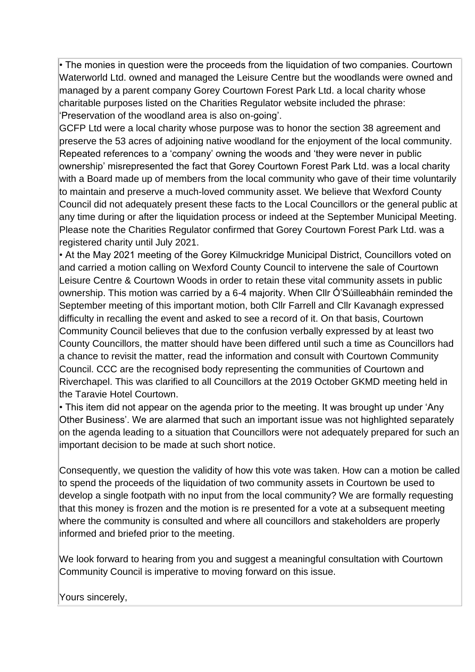• The monies in question were the proceeds from the liquidation of two companies. Courtown Waterworld Ltd. owned and managed the Leisure Centre but the woodlands were owned and managed by a parent company Gorey Courtown Forest Park Ltd. a local charity whose charitable purposes listed on the Charities Regulator website included the phrase: 'Preservation of the woodland area is also on-going'.

GCFP Ltd were a local charity whose purpose was to honor the section 38 agreement and preserve the 53 acres of adjoining native woodland for the enjoyment of the local community. Repeated references to a 'company' owning the woods and 'they were never in public ownership' misrepresented the fact that Gorey Courtown Forest Park Ltd. was a local charity with a Board made up of members from the local community who gave of their time voluntarily to maintain and preserve a much-loved community asset. We believe that Wexford County Council did not adequately present these facts to the Local Councillors or the general public at any time during or after the liquidation process or indeed at the September Municipal Meeting. Please note the Charities Regulator confirmed that Gorey Courtown Forest Park Ltd. was a registered charity until July 2021.

• At the May 2021 meeting of the Gorey Kilmuckridge Municipal District, Councillors voted on and carried a motion calling on Wexford County Council to intervene the sale of Courtown Leisure Centre & Courtown Woods in order to retain these vital community assets in public ownership. This motion was carried by a 6-4 majority. When Cllr Ó'Súilleabháin reminded the September meeting of this important motion, both Cllr Farrell and Cllr Kavanagh expressed difficulty in recalling the event and asked to see a record of it. On that basis, Courtown Community Council believes that due to the confusion verbally expressed by at least two County Councillors, the matter should have been differed until such a time as Councillors had a chance to revisit the matter, read the information and consult with Courtown Community Council. CCC are the recognised body representing the communities of Courtown and Riverchapel. This was clarified to all Councillors at the 2019 October GKMD meeting held in the Taravie Hotel Courtown.

• This item did not appear on the agenda prior to the meeting. It was brought up under 'Any Other Business'. We are alarmed that such an important issue was not highlighted separately on the agenda leading to a situation that Councillors were not adequately prepared for such an important decision to be made at such short notice.

Consequently, we question the validity of how this vote was taken. How can a motion be called to spend the proceeds of the liquidation of two community assets in Courtown be used to develop a single footpath with no input from the local community? We are formally requesting that this money is frozen and the motion is re presented for a vote at a subsequent meeting where the community is consulted and where all councillors and stakeholders are properly informed and briefed prior to the meeting.

We look forward to hearing from you and suggest a meaningful consultation with Courtown Community Council is imperative to moving forward on this issue.

Yours sincerely,